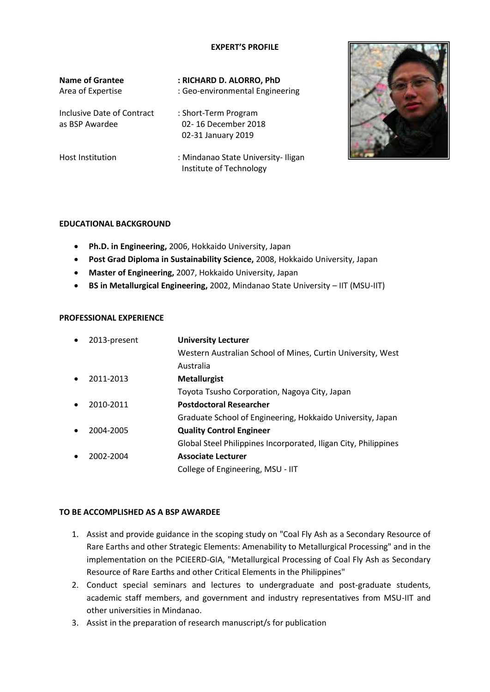## **EXPERT'S PROFILE**

| <b>Name of Grantee</b><br>Area of Expertise  | : RICHARD D. ALORRO, PhD<br>: Geo-environmental Engineering       |
|----------------------------------------------|-------------------------------------------------------------------|
| Inclusive Date of Contract<br>as BSP Awardee | : Short-Term Program<br>02-16 December 2018<br>02-31 January 2019 |
| <b>Host Institution</b>                      | : Mindanao State University-Iligan<br>Institute of Technology     |



## **EDUCATIONAL BACKGROUND**

- **Ph.D. in Engineering,** 2006, Hokkaido University, Japan
- **Post Grad Diploma in Sustainability Science,** 2008, Hokkaido University, Japan
- **Master of Engineering,** 2007, Hokkaido University, Japan
- **BS in Metallurgical Engineering,** 2002, Mindanao State University IIT (MSU-IIT)

## **PROFESSIONAL EXPERIENCE**

| $\bullet$ | 2013-present | <b>University Lecturer</b>                                      |
|-----------|--------------|-----------------------------------------------------------------|
|           |              | Western Australian School of Mines, Curtin University, West     |
|           |              | Australia                                                       |
| $\bullet$ | 2011-2013    | <b>Metallurgist</b>                                             |
|           |              | Toyota Tsusho Corporation, Nagoya City, Japan                   |
| $\bullet$ | 2010-2011    | <b>Postdoctoral Researcher</b>                                  |
|           |              | Graduate School of Engineering, Hokkaido University, Japan      |
| $\bullet$ | 2004-2005    | <b>Quality Control Engineer</b>                                 |
|           |              | Global Steel Philippines Incorporated, Iligan City, Philippines |
| $\bullet$ | 2002-2004    | <b>Associate Lecturer</b>                                       |
|           |              | College of Engineering, MSU - IIT                               |

## **TO BE ACCOMPLISHED AS A BSP AWARDEE**

- 1. Assist and provide guidance in the scoping study on "Coal Fly Ash as a Secondary Resource of Rare Earths and other Strategic Elements: Amenability to Metallurgical Processing" and in the implementation on the PCIEERD-GIA, "Metallurgical Processing of Coal Fly Ash as Secondary Resource of Rare Earths and other Critical Elements in the Philippines"
- 2. Conduct special seminars and lectures to undergraduate and post-graduate students, academic staff members, and government and industry representatives from MSU-IIT and other universities in Mindanao.
- 3. Assist in the preparation of research manuscript/s for publication